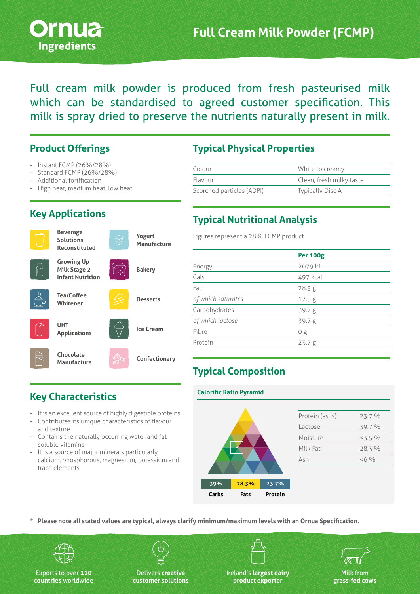

Full cream milk powder is produced from fresh pasteurised milk which can be standardised to agreed customer specification. This milk is spray dried to preserve the nutrients naturally present in milk.

#### **Product Offerings**

- Instant FCMP (26%/28%)
- Standard FCMP (26%/28%)
- Additional fortification
- High heat, medium heat, low heat

## **Key Applications**

**Beverage Solutions Reconstituted**







**Infant Nutrition Tea/Coffee** 

**Whitener**















**Yogurt Manufacture**

**Bakery**

**Desserts**

### **Typical Physical Properties**

| Colour                    | White to creamy          |
|---------------------------|--------------------------|
| Flavour                   | Clean, fresh milky taste |
| Scorched particles (ADPI) | Typically Disc A         |

## **Typical Nutritional Analysis**

Figures represent a 28% FCMP product

|                    | <b>Per 100g</b> |  |
|--------------------|-----------------|--|
| Energy             | 2079 kJ         |  |
| Cals               | 497 kcal        |  |
| Fat                | 28.3 g          |  |
| of which saturates | 17.5 g          |  |
| Carbohydrates      | 39.7 g          |  |
| of which lactose   | 39.7g           |  |
| Fibre              | 0g              |  |
| Protein            | 23.7 g          |  |
|                    |                 |  |

# **Typical Composition**

**Calorific Ratio Pyramid**

# **Key Characteristics**

- It is an excellent source of highly digestible proteins
- Contributes its unique characteristics of flavour and texture
- Contains the naturally occurring water and fat soluble vitamins
- It is a source of major minerals particularly calcium, phosphorous, magnesium, potassium and trace elements



| Protein (as is) | 23.7 %  |
|-----------------|---------|
| Lactose         | 39.7 %  |
| Moisture        | $3.5\%$ |
| Milk Fat        | 28.3 %  |
| Ash             | $<$ 6 % |
|                 |         |

**\* Please note all stated values are typical, always clarify minimum/maximum levels with an Ornua Specification.**



Exports to over **110 countries** worldwide

Delivers **creative customer solutions**

Ireland's **largest dairy product exporter**